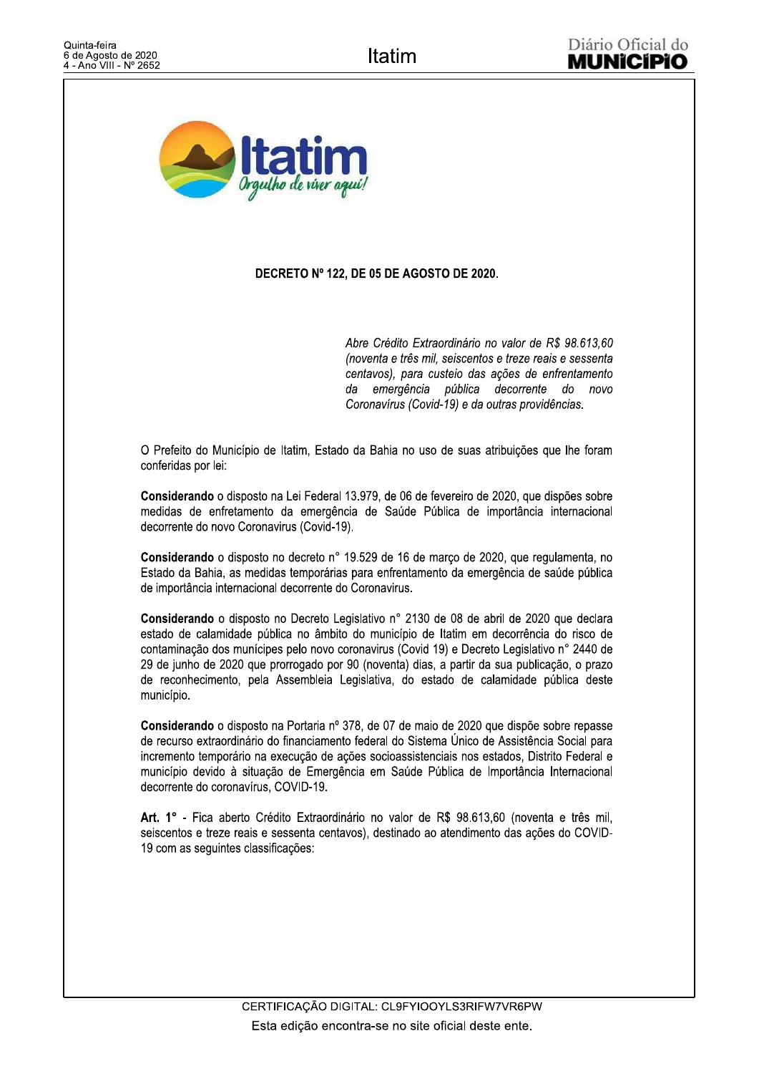

## DECRETO Nº 122. DE 05 DE AGOSTO DE 2020.

Abre Crédito Extraordinário no valor de R\$ 98.613.60 (noventa e três mil, seiscentos e treze reais e sessenta centavos), para custeio das ações de enfrentamento da emergência pública decorrente do novo Coronavírus (Covid-19) e da outras providências.

O Prefeito do Município de Itatim, Estado da Bahia no uso de suas atribuições que lhe foram conferidas por lei:

Considerando o disposto na Lei Federal 13.979, de 06 de fevereiro de 2020, que dispões sobre medidas de enfretamento da emergência de Saúde Pública de importância internacional decorrente do novo Coronavirus (Covid-19).

Considerando o disposto no decreto nº 19.529 de 16 de março de 2020, que regulamenta, no Estado da Bahia, as medidas temporárias para enfrentamento da emergência de saúde pública de importância internacional decorrente do Coronavirus.

Considerando o disposto no Decreto Legislativo nº 2130 de 08 de abril de 2020 que declara estado de calamidade pública no âmbito do município de Itatim em decorrência do risco de contaminação dos munícipes pelo novo coronavirus (Covid 19) e Decreto Legislativo nº 2440 de 29 de junho de 2020 que prorrogado por 90 (noventa) dias, a partir da sua publicação, o prazo de reconhecimento, pela Assembleia Legislativa, do estado de calamidade pública deste município.

Considerando o disposto na Portaria nº 378, de 07 de maio de 2020 que dispõe sobre repasse de recurso extraordinário do financiamento federal do Sistema Único de Assistência Social para incremento temporário na execução de ações socioassistenciais nos estados, Distrito Federal e município devido à situação de Emergência em Saúde Pública de Importância Internacional decorrente do coronavírus, COVID-19.

Art. 1° - Fica aberto Crédito Extraordinário no valor de R\$ 98.613,60 (noventa e três mil, seiscentos e treze reais e sessenta centavos), destinado ao atendimento das ações do COVID-19 com as sequintes classificações: